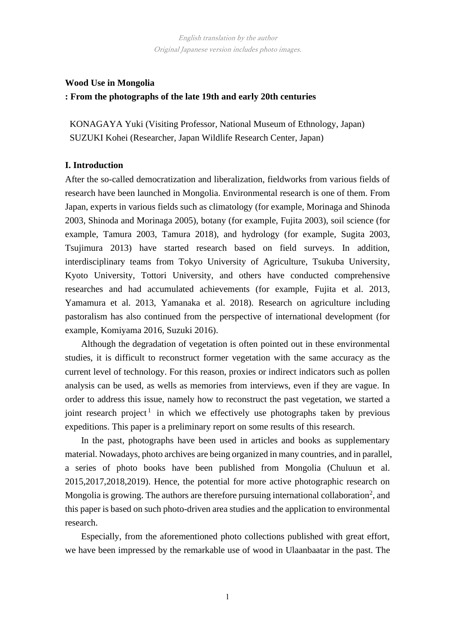# **Wood Use in Mongolia : From the photographs of the late 19th and early 20th centuries**

KONAGAYA Yuki (Visiting Professor, National Museum of Ethnology, Japan) SUZUKI Kohei (Researcher, Japan Wildlife Research Center, Japan)

# **I. Introduction**

After the so-called democratization and liberalization, fieldworks from various fields of research have been launched in Mongolia. Environmental research is one of them. From Japan, experts in various fields such as climatology (for example, Morinaga and Shinoda 2003, Shinoda and Morinaga 2005), botany (for example, Fujita 2003), soil science (for example, Tamura 2003, Tamura 2018), and hydrology (for example, Sugita 2003, Tsujimura 2013) have started research based on field surveys. In addition, interdisciplinary teams from Tokyo University of Agriculture, Tsukuba University, Kyoto University, Tottori University, and others have conducted comprehensive researches and had accumulated achievements (for example, Fujita et al. 2013, Yamamura et al. 2013, Yamanaka et al. 2018). Research on agriculture including pastoralism has also continued from the perspective of international development (for example, Komiyama 2016, Suzuki 2016).

Although the degradation of vegetation is often pointed out in these environmental studies, it is difficult to reconstruct former vegetation with the same accuracy as the current level of technology. For this reason, proxies or indirect indicators such as pollen analysis can be used, as wells as memories from interviews, even if they are vague. In order to address this issue, namely how to reconstruct the past vegetation, we started a joint research project<sup>1</sup> in which we effectively use photographs taken by previous expeditions. This paper is a preliminary report on some results of this research.

In the past, photographs have been used in articles and books as supplementary material. Nowadays, photo archives are being organized in many countries, and in parallel, a series of photo books have been published from Mongolia (Chuluun et al. 2015,2017,2018,2019). Hence, the potential for more active photographic research on Mongolia is growing. The authors are therefore pursuing international collaboration<sup>2</sup>, and this paper is based on such photo-driven area studies and the application to environmental research.

Especially, from the aforementioned photo collections published with great effort, we have been impressed by the remarkable use of wood in Ulaanbaatar in the past. The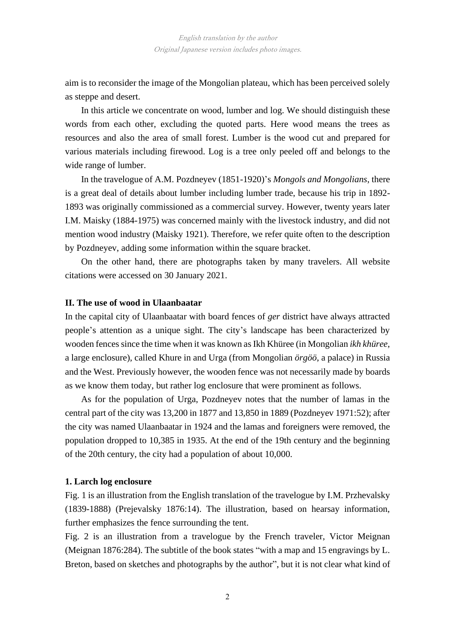aim is to reconsider the image of the Mongolian plateau, which has been perceived solely as steppe and desert.

In this article we concentrate on wood, lumber and log. We should distinguish these words from each other, excluding the quoted parts. Here wood means the trees as resources and also the area of small forest. Lumber is the wood cut and prepared for various materials including firewood. Log is a tree only peeled off and belongs to the wide range of lumber.

In the travelogue of A.M. Pozdneyev (1851-1920)'s *Mongols and Mongolians*, there is a great deal of details about lumber including lumber trade, because his trip in 1892- 1893 was originally commissioned as a commercial survey. However, twenty years later I.M. Maisky (1884-1975) was concerned mainly with the livestock industry, and did not mention wood industry (Maisky 1921). Therefore, we refer quite often to the description by Pozdneyev, adding some information within the square bracket.

On the other hand, there are photographs taken by many travelers. All website citations were accessed on 30 January 2021.

### **II. The use of wood in Ulaanbaatar**

In the capital city of Ulaanbaatar with board fences of *ger* district have always attracted people's attention as a unique sight. The city's landscape has been characterized by wooden fences since the time when it was known as Ikh Khüree (in Mongolian *ikh khüree*, a large enclosure), called Khure in and Urga (from Mongolian *örgöö*, a palace) in Russia and the West. Previously however, the wooden fence was not necessarily made by boards as we know them today, but rather log enclosure that were prominent as follows.

As for the population of Urga, Pozdneyev notes that the number of lamas in the central part of the city was 13,200 in 1877 and 13,850 in 1889 (Pozdneyev 1971:52); after the city was named Ulaanbaatar in 1924 and the lamas and foreigners were removed, the population dropped to 10,385 in 1935. At the end of the 19th century and the beginning of the 20th century, the city had a population of about 10,000.

### **1. Larch log enclosure**

Fig. 1 is an illustration from the English translation of the travelogue by I.M. Przhevalsky (1839-1888) (Prejevalsky 1876:14). The illustration, based on hearsay information, further emphasizes the fence surrounding the tent.

Fig. 2 is an illustration from a travelogue by the French traveler, Victor Meignan (Meignan 1876:284). The subtitle of the book states "with a map and 15 engravings by L. Breton, based on sketches and photographs by the author", but it is not clear what kind of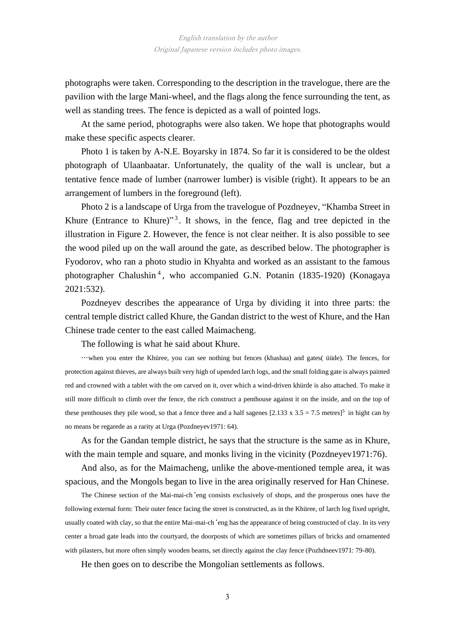photographs were taken. Corresponding to the description in the travelogue, there are the pavilion with the large Mani-wheel, and the flags along the fence surrounding the tent, as well as standing trees. The fence is depicted as a wall of pointed logs.

At the same period, photographs were also taken. We hope that photographs would make these specific aspects clearer.

Photo 1 is taken by A-N.E. Boyarsky in 1874. So far it is considered to be the oldest photograph of Ulaanbaatar. Unfortunately, the quality of the wall is unclear, but a tentative fence made of lumber (narrower lumber) is visible (right). It appears to be an arrangement of lumbers in the foreground (left).

Photo 2 is a landscape of Urga from the travelogue of Pozdneyev, "Khamba Street in Khure (Entrance to Khure)"<sup>3</sup>. It shows, in the fence, flag and tree depicted in the illustration in Figure 2. However, the fence is not clear neither. It is also possible to see the wood piled up on the wall around the gate, as described below. The photographer is Fyodorov, who ran a photo studio in Khyahta and worked as an assistant to the famous photographer Chalushin<sup>4</sup>, who accompanied G.N. Potanin (1835-1920) (Konagaya 2021:532).

Pozdneyev describes the appearance of Urga by dividing it into three parts: the central temple district called Khure, the Gandan district to the west of Khure, and the Han Chinese trade center to the east called Maimacheng.

The following is what he said about Khure.

…when you enter the Khüree, you can see nothing but fences (khashaa) and gates( üüde). The fences, for protection against thieves, are always built very high of upended larch logs, and the small folding gate is always painted red and crowned with a tablet with the *om* carved on it, over which a wind-driven khürde is also attached. To make it still more difficult to climb over the fence, the rich construct a penthouse against it on the inside, and on the top of these penthouses they pile wood, so that a fence three and a half sagenes  $[2.133 \times 3.5 = 7.5 \text{ metres}]^5$  in hight can by no means be regarede as a rarity at Urga (Pozdneyev1971: 64).

As for the Gandan temple district, he says that the structure is the same as in Khure, with the main temple and square, and monks living in the vicinity (Pozdneyev1971:76).

And also, as for the Maimacheng, unlike the above-mentioned temple area, it was spacious, and the Mongols began to live in the area originally reserved for Han Chinese.

The Chinese section of the Mai-mai-ch'eng consists exclusively of shops, and the prosperous ones have the following external form: Their outer fence facing the street is constructed, as in the Khüree, of larch log fixed upright, usually coated with clay, so that the entire Mai-mai-ch'eng has the appearance of being constructed of clay. In its very center a broad gate leads into the courtyard, the doorposts of which are sometimes pillars of bricks and ornamented with pilasters, but more often simply wooden beams, set directly against the clay fence (Pozhdneev1971: 79-80).

He then goes on to describe the Mongolian settlements as follows.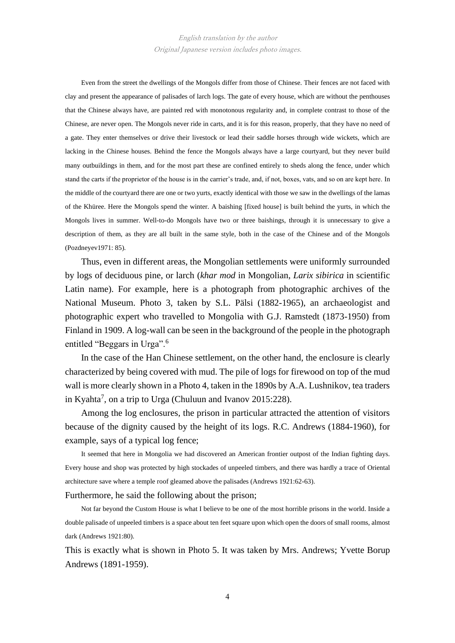Even from the street the dwellings of the Mongols differ from those of Chinese. Their fences are not faced with clay and present the appearance of palisades of larch logs. The gate of every house, which are without the penthouses that the Chinese always have, are painted red with monotonous regularity and, in complete contrast to those of the Chinese, are never open. The Mongols never ride in carts, and it is for this reason, properly, that they have no need of a gate. They enter themselves or drive their livestock or lead their saddle horses through wide wickets, which are lacking in the Chinese houses. Behind the fence the Mongols always have a large courtyard, but they never build many outbuildings in them, and for the most part these are confined entirely to sheds along the fence, under which stand the carts if the proprietor of the house is in the carrier's trade, and, if not, boxes, vats, and so on are kept here. In the middle of the courtyard there are one or two yurts, exactly identical with those we saw in the dwellings of the lamas of the Khüree. Here the Mongols spend the winter. A baishing [fixed house] is built behind the yurts, in which the Mongols lives in summer. Well-to-do Mongols have two or three baishings, through it is unnecessary to give a description of them, as they are all built in the same style, both in the case of the Chinese and of the Mongols (Pozdneyev1971: 85).

Thus, even in different areas, the Mongolian settlements were uniformly surrounded by logs of deciduous pine, or larch (*khar mod* in Mongolian, *Larix sibirica* in scientific Latin name). For example, here is a photograph from photographic archives of the National Museum. Photo 3, taken by S.L. Pälsi (1882-1965), an archaeologist and photographic expert who travelled to Mongolia with G.J. Ramstedt (1873-1950) from Finland in 1909. A log-wall can be seen in the background of the people in the photograph entitled "Beggars in Urga".<sup>6</sup>

In the case of the Han Chinese settlement, on the other hand, the enclosure is clearly characterized by being covered with mud. The pile of logs for firewood on top of the mud wall is more clearly shown in a Photo 4, taken in the 1890s by A.A. Lushnikov, tea traders in Kyahta<sup>7</sup>, on a trip to Urga (Chuluun and Ivanov 2015:228).

Among the log enclosures, the prison in particular attracted the attention of visitors because of the dignity caused by the height of its logs. R.C. Andrews (1884-1960), for example, says of a typical log fence;

It seemed that here in Mongolia we had discovered an American frontier outpost of the Indian fighting days. Every house and shop was protected by high stockades of unpeeled timbers, and there was hardly a trace of Oriental architecture save where a temple roof gleamed above the palisades (Andrews 1921:62-63).

Furthermore, he said the following about the prison;

Not far beyond the Custom House is what I believe to be one of the most horrible prisons in the world. Inside a double palisade of unpeeled timbers is a space about ten feet square upon which open the doors of small rooms, almost dark (Andrews 1921:80).

This is exactly what is shown in Photo 5. It was taken by Mrs. Andrews; Yvette Borup Andrews (1891-1959).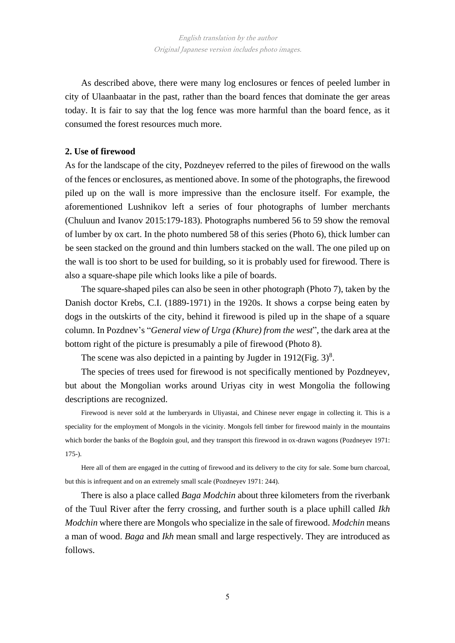As described above, there were many log enclosures or fences of peeled lumber in city of Ulaanbaatar in the past, rather than the board fences that dominate the ger areas today. It is fair to say that the log fence was more harmful than the board fence, as it consumed the forest resources much more.

### **2. Use of firewood**

As for the landscape of the city, Pozdneyev referred to the piles of firewood on the walls of the fences or enclosures, as mentioned above. In some of the photographs, the firewood piled up on the wall is more impressive than the enclosure itself. For example, the aforementioned Lushnikov left a series of four photographs of lumber merchants (Chuluun and Ivanov 2015:179-183). Photographs numbered 56 to 59 show the removal of lumber by ox cart. In the photo numbered 58 of this series (Photo 6), thick lumber can be seen stacked on the ground and thin lumbers stacked on the wall. The one piled up on the wall is too short to be used for building, so it is probably used for firewood. There is also a square-shape pile which looks like a pile of boards.

The square-shaped piles can also be seen in other photograph (Photo 7), taken by the Danish doctor Krebs, C.I. (1889-1971) in the 1920s. It shows a corpse being eaten by dogs in the outskirts of the city, behind it firewood is piled up in the shape of a square column. In Pozdnev's "*General view of Urga (Khure) from the west*", the dark area at the bottom right of the picture is presumably a pile of firewood (Photo 8).

The scene was also depicted in a painting by Jugder in 1912(Fig.  $3)^8$ .

The species of trees used for firewood is not specifically mentioned by Pozdneyev, but about the Mongolian works around Uriyas city in west Mongolia the following descriptions are recognized.

Firewood is never sold at the lumberyards in Uliyastai, and Chinese never engage in collecting it. This is a speciality for the employment of Mongols in the vicinity. Mongols fell timber for firewood mainly in the mountains which border the banks of the Bogdoin goul, and they transport this firewood in ox-drawn wagons (Pozdneyev 1971: 175-).

Here all of them are engaged in the cutting of firewood and its delivery to the city for sale. Some burn charcoal, but this is infrequent and on an extremely small scale (Pozdneyev 1971: 244).

There is also a place called *Baga Modchin* about three kilometers from the riverbank of the Tuul River after the ferry crossing, and further south is a place uphill called *Ikh Modchin* where there are Mongols who specialize in the sale of firewood. *Modchin* means a man of wood. *Baga* and *Ikh* mean small and large respectively. They are introduced as follows.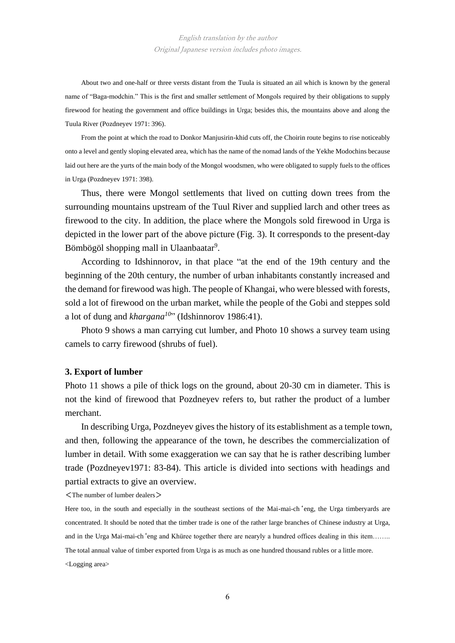About two and one-half or three versts distant from the Tuula is situated an ail which is known by the general name of "Baga-modchin." This is the first and smaller settlement of Mongols required by their obligations to supply firewood for heating the government and office buildings in Urga; besides this, the mountains above and along the Tuula River (Pozdneyev 1971: 396).

From the point at which the road to Donkor Manjusirin-khid cuts off, the Choirin route begins to rise noticeably onto a level and gently sloping elevated area, which has the name of the nomad lands of the Yekhe Modochins because laid out here are the yurts of the main body of the Mongol woodsmen, who were obligated to supply fuels to the offices in Urga (Pozdneyev 1971: 398).

Thus, there were Mongol settlements that lived on cutting down trees from the surrounding mountains upstream of the Tuul River and supplied larch and other trees as firewood to the city. In addition, the place where the Mongols sold firewood in Urga is depicted in the lower part of the above picture (Fig. 3). It corresponds to the present-day Bömbögöl shopping mall in Ulaanbaatar<sup>9</sup>.

According to Idshinnorov, in that place "at the end of the 19th century and the beginning of the 20th century, the number of urban inhabitants constantly increased and the demand for firewood was high. The people of Khangai, who were blessed with forests, sold a lot of firewood on the urban market, while the people of the Gobi and steppes sold a lot of dung and *khargana<sup>10</sup>*" (Idshinnorov 1986:41).

Photo 9 shows a man carrying cut lumber, and Photo 10 shows a survey team using camels to carry firewood (shrubs of fuel).

#### **3. Export of lumber**

Photo 11 shows a pile of thick logs on the ground, about 20-30 cm in diameter. This is not the kind of firewood that Pozdneyev refers to, but rather the product of a lumber merchant.

In describing Urga, Pozdneyev gives the history of its establishment as a temple town, and then, following the appearance of the town, he describes the commercialization of lumber in detail. With some exaggeration we can say that he is rather describing lumber trade (Pozdneyev1971: 83-84). This article is divided into sections with headings and partial extracts to give an overview.

 $\langle$ The number of lumber dealers $>$ 

Here too, in the south and especially in the southeast sections of the Mai-mai-ch 'eng, the Urga timberyards are concentrated. It should be noted that the timber trade is one of the rather large branches of Chinese industry at Urga, and in the Urga Mai-mai-ch'eng and Khüree together there are nearyly a hundred offices dealing in this item…….. The total annual value of timber exported from Urga is as much as one hundred thousand rubles or a little more. <Logging area>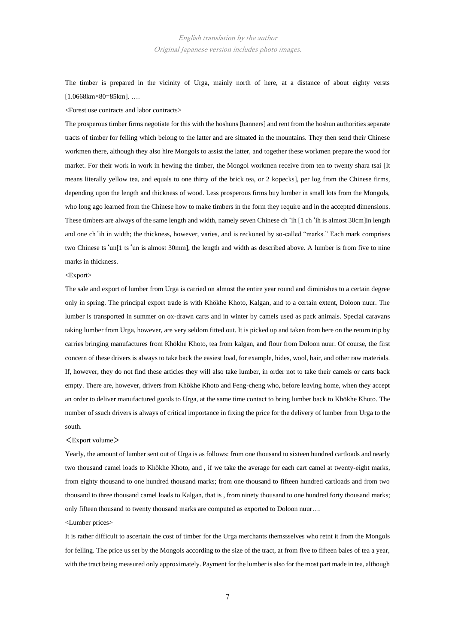English translation by the author Original Japanese version includes photo images.

The timber is prepared in the vicinity of Urga, mainly north of here, at a distance of about eighty versts [1.0668km×80=85km]. ….

<Forest use contracts and labor contracts>

The prosperous timber firms negotiate for this with the hoshuns [banners] and rent from the hoshun authorities separate tracts of timber for felling which belong to the latter and are situated in the mountains. They then send their Chinese workmen there, although they also hire Mongols to assist the latter, and together these workmen prepare the wood for market. For their work in work in hewing the timber, the Mongol workmen receive from ten to twenty shara tsai [It means literally yellow tea, and equals to one thirty of the brick tea, or 2 kopecks], per log from the Chinese firms, depending upon the length and thickness of wood. Less prosperous firms buy lumber in small lots from the Mongols, who long ago learned from the Chinese how to make timbers in the form they require and in the accepted dimensions. These timbers are always of the same length and width, namely seven Chinese ch'ih [1 ch'ih is almost 30cm]in length and one ch'ih in width; the thickness, however, varies, and is reckoned by so-called "marks." Each mark comprises two Chinese ts'un[1 ts'un is almost 30mm], the length and width as described above. A lumber is from five to nine marks in thickness.

#### <Export>

The sale and export of lumber from Urga is carried on almost the entire year round and diminishes to a certain degree only in spring. The principal export trade is with Khökhe Khoto, Kalgan, and to a certain extent, Doloon nuur. The lumber is transported in summer on ox-drawn carts and in winter by camels used as pack animals. Special caravans taking lumber from Urga, however, are very seldom fitted out. It is picked up and taken from here on the return trip by carries bringing manufactures from Khökhe Khoto, tea from kalgan, and flour from Doloon nuur. Of course, the first concern of these drivers is always to take back the easiest load, for example, hides, wool, hair, and other raw materials. If, however, they do not find these articles they will also take lumber, in order not to take their camels or carts back empty. There are, however, drivers from Khökhe Khoto and Feng-cheng who, before leaving home, when they accept an order to deliver manufactured goods to Urga, at the same time contact to bring lumber back to Khökhe Khoto. The number of ssuch drivers is always of critical importance in fixing the price for the delivery of lumber from Urga to the south.

#### $\langle$ Export volume $\rangle$

Yearly, the amount of lumber sent out of Urga is as follows: from one thousand to sixteen hundred cartloads and nearly two thousand camel loads to Khökhe Khoto, and , if we take the average for each cart camel at twenty-eight marks, from eighty thousand to one hundred thousand marks; from one thousand to fifteen hundred cartloads and from two thousand to three thousand camel loads to Kalgan, that is , from ninety thousand to one hundred forty thousand marks; only fifteen thousand to twenty thousand marks are computed as exported to Doloon nuur….

<Lumber prices>

It is rather difficult to ascertain the cost of timber for the Urga merchants themssselves who retnt it from the Mongols for felling. The price us set by the Mongols according to the size of the tract, at from five to fifteen bales of tea a year, with the tract being measured only approximately. Payment for the lumber is also for the most part made in tea, although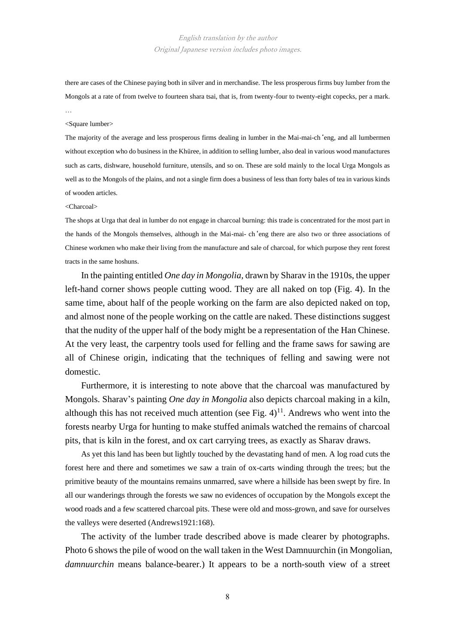## English translation by the author Original Japanese version includes photo images.

there are cases of the Chinese paying both in silver and in merchandise. The less prosperous firms buy lumber from the Mongols at a rate of from twelve to fourteen shara tsai, that is, from twenty-four to twenty-eight copecks, per a mark. …

#### <Square lumber>

The majority of the average and less prosperous firms dealing in lumber in the Mai-mai-ch'eng, and all lumbermen without exception who do business in the Khüree, in addition to selling lumber, also deal in various wood manufactures such as carts, dishware, household furniture, utensils, and so on. These are sold mainly to the local Urga Mongols as well as to the Mongols of the plains, and not a single firm does a business of less than forty bales of tea in various kinds of wooden articles.

#### <Charcoal>

The shops at Urga that deal in lumber do not engage in charcoal burning: this trade is concentrated for the most part in the hands of the Mongols themselves, although in the Mai-mai- ch'eng there are also two or three associations of Chinese workmen who make their living from the manufacture and sale of charcoal, for which purpose they rent forest tracts in the same hoshuns.

In the painting entitled *One day in Mongolia,* drawn by Sharav in the 1910s, the upper left-hand corner shows people cutting wood. They are all naked on top (Fig. 4). In the same time, about half of the people working on the farm are also depicted naked on top, and almost none of the people working on the cattle are naked. These distinctions suggest that the nudity of the upper half of the body might be a representation of the Han Chinese. At the very least, the carpentry tools used for felling and the frame saws for sawing are all of Chinese origin, indicating that the techniques of felling and sawing were not domestic.

Furthermore, it is interesting to note above that the charcoal was manufactured by Mongols. Sharav's painting *One day in Mongolia* also depicts charcoal making in a kiln, although this has not received much attention (see Fig.  $4$ )<sup>11</sup>. Andrews who went into the forests nearby Urga for hunting to make stuffed animals watched the remains of charcoal pits, that is kiln in the forest, and ox cart carrying trees, as exactly as Sharav draws.

As yet this land has been but lightly touched by the devastating hand of men. A log road cuts the forest here and there and sometimes we saw a train of ox-carts winding through the trees; but the primitive beauty of the mountains remains unmarred, save where a hillside has been swept by fire. In all our wanderings through the forests we saw no evidences of occupation by the Mongols except the wood roads and a few scattered charcoal pits. These were old and moss-grown, and save for ourselves the valleys were deserted (Andrews1921:168).

The activity of the lumber trade described above is made clearer by photographs. Photo 6 shows the pile of wood on the wall taken in the West Damnuurchin (in Mongolian, *damnuurchin* means balance-bearer.) It appears to be a north-south view of a street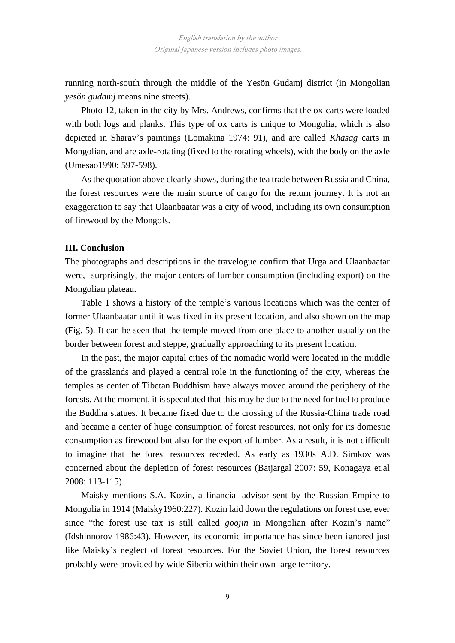running north-south through the middle of the Yesön Gudamj district (in Mongolian *yesön gudamj* means nine streets).

Photo 12, taken in the city by Mrs. Andrews, confirms that the ox-carts were loaded with both logs and planks. This type of ox carts is unique to Mongolia, which is also depicted in Sharav's paintings (Lomakina 1974: 91), and are called *Khasag* carts in Mongolian, and are axle-rotating (fixed to the rotating wheels), with the body on the axle (Umesao1990: 597-598).

As the quotation above clearly shows, during the tea trade between Russia and China, the forest resources were the main source of cargo for the return journey. It is not an exaggeration to say that Ulaanbaatar was a city of wood, including its own consumption of firewood by the Mongols.

# **III. Conclusion**

The photographs and descriptions in the travelogue confirm that Urga and Ulaanbaatar were, surprisingly, the major centers of lumber consumption (including export) on the Mongolian plateau.

Table 1 shows a history of the temple's various locations which was the center of former Ulaanbaatar until it was fixed in its present location, and also shown on the map (Fig. 5). It can be seen that the temple moved from one place to another usually on the border between forest and steppe, gradually approaching to its present location.

In the past, the major capital cities of the nomadic world were located in the middle of the grasslands and played a central role in the functioning of the city, whereas the temples as center of Tibetan Buddhism have always moved around the periphery of the forests. At the moment, it is speculated that this may be due to the need for fuel to produce the Buddha statues. It became fixed due to the crossing of the Russia-China trade road and became a center of huge consumption of forest resources, not only for its domestic consumption as firewood but also for the export of lumber. As a result, it is not difficult to imagine that the forest resources receded. As early as 1930s A.D. Simkov was concerned about the depletion of forest resources (Batjargal 2007: 59, Konagaya et.al 2008: 113-115).

Maisky mentions S.A. Kozin, a financial advisor sent by the Russian Empire to Mongolia in 1914 (Maisky1960:227). Kozin laid down the regulations on forest use, ever since "the forest use tax is still called *goojin* in Mongolian after Kozin's name" (Idshinnorov 1986:43). However, its economic importance has since been ignored just like Maisky's neglect of forest resources. For the Soviet Union, the forest resources probably were provided by wide Siberia within their own large territory.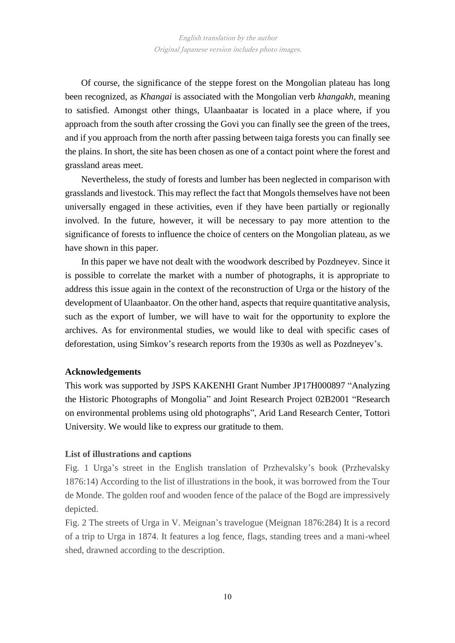Of course, the significance of the steppe forest on the Mongolian plateau has long been recognized, as *Khangai* is associated with the Mongolian verb *khangakh*, meaning to satisfied. Amongst other things, Ulaanbaatar is located in a place where, if you approach from the south after crossing the Govi you can finally see the green of the trees, and if you approach from the north after passing between taiga forests you can finally see the plains. In short, the site has been chosen as one of a contact point where the forest and grassland areas meet.

Nevertheless, the study of forests and lumber has been neglected in comparison with grasslands and livestock. This may reflect the fact that Mongols themselves have not been universally engaged in these activities, even if they have been partially or regionally involved. In the future, however, it will be necessary to pay more attention to the significance of forests to influence the choice of centers on the Mongolian plateau, as we have shown in this paper.

In this paper we have not dealt with the woodwork described by Pozdneyev. Since it is possible to correlate the market with a number of photographs, it is appropriate to address this issue again in the context of the reconstruction of Urga or the history of the development of Ulaanbaator. On the other hand, aspects that require quantitative analysis, such as the export of lumber, we will have to wait for the opportunity to explore the archives. As for environmental studies, we would like to deal with specific cases of deforestation, using Simkov's research reports from the 1930s as well as Pozdneyev's.

#### **Acknowledgements**

This work was supported by JSPS KAKENHI Grant Number JP17H000897 "Analyzing the Historic Photographs of Mongolia" and Joint Research Project 02B2001 "Research on environmental problems using old photographs", Arid Land Research Center, Tottori University. We would like to express our gratitude to them.

#### **List of illustrations and captions**

Fig. 1 Urga's street in the English translation of Przhevalsky's book (Przhevalsky 1876:14) According to the list of illustrations in the book, it was borrowed from the Tour de Monde. The golden roof and wooden fence of the palace of the Bogd are impressively depicted.

Fig. 2 The streets of Urga in V. Meignan's travelogue (Meignan 1876:284) It is a record of a trip to Urga in 1874. It features a log fence, flags, standing trees and a mani-wheel shed, drawned according to the description.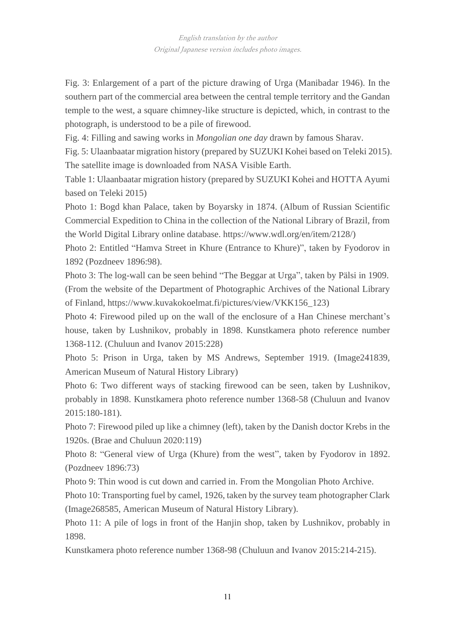Fig. 3: Enlargement of a part of the picture drawing of Urga (Manibadar 1946). In the southern part of the commercial area between the central temple territory and the Gandan temple to the west, a square chimney-like structure is depicted, which, in contrast to the photograph, is understood to be a pile of firewood.

Fig. 4: Filling and sawing works in *Mongolian one day* drawn by famous Sharav.

Fig. 5: Ulaanbaatar migration history (prepared by SUZUKI Kohei based on Teleki 2015). The satellite image is downloaded from NASA Visible Earth.

Table 1: Ulaanbaatar migration history (prepared by SUZUKI Kohei and HOTTA Ayumi based on Teleki 2015)

Photo 1: Bogd khan Palace, taken by Boyarsky in 1874. (Album of Russian Scientific Commercial Expedition to China in the collection of the National Library of Brazil, from the World Digital Library online database. https://www.wdl.org/en/item/2128/)

Photo 2: Entitled "Hamva Street in Khure (Entrance to Khure)", taken by Fyodorov in 1892 (Pozdneev 1896:98).

Photo 3: The log-wall can be seen behind "The Beggar at Urga", taken by Pälsi in 1909. (From the website of the Department of Photographic Archives of the National Library of Finland, https://www.kuvakokoelmat.fi/pictures/view/VKK156\_123)

Photo 4: Firewood piled up on the wall of the enclosure of a Han Chinese merchant's house, taken by Lushnikov, probably in 1898. Kunstkamera photo reference number 1368-112. (Chuluun and Ivanov 2015:228)

Photo 5: Prison in Urga, taken by MS Andrews, September 1919. (Image241839, American Museum of Natural History Library)

Photo 6: Two different ways of stacking firewood can be seen, taken by Lushnikov, probably in 1898. Kunstkamera photo reference number 1368-58 (Chuluun and Ivanov 2015:180-181).

Photo 7: Firewood piled up like a chimney (left), taken by the Danish doctor Krebs in the 1920s. (Brae and Chuluun 2020:119)

Photo 8: "General view of Urga (Khure) from the west", taken by Fyodorov in 1892. (Pozdneev 1896:73)

Photo 9: Thin wood is cut down and carried in. From the Mongolian Photo Archive.

Photo 10: Transporting fuel by camel, 1926, taken by the survey team photographer Clark (Image268585, American Museum of Natural History Library).

Photo 11: A pile of logs in front of the Hanjin shop, taken by Lushnikov, probably in 1898.

Kunstkamera photo reference number 1368-98 (Chuluun and Ivanov 2015:214-215).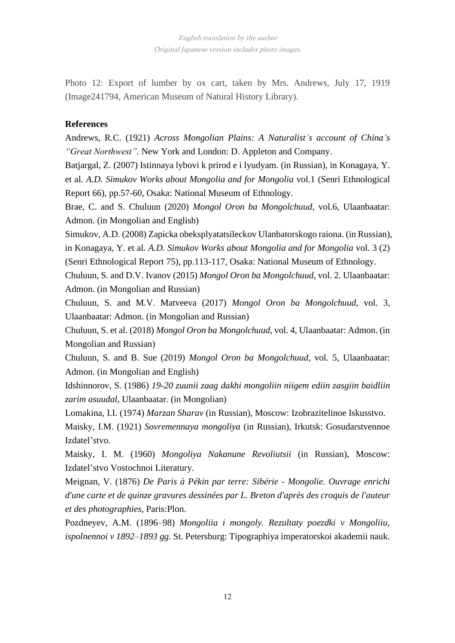Photo 12: Export of lumber by ox cart, taken by Mrs. Andrews, July 17, 1919 (Image241794, American Museum of Natural History Library).

# **References**

Andrews, R.C. (1921) *Across Mongolian Plains: A Naturalist's account of China's "Great Northwest"*. New York and London: D. Appleton and Company.

Batjargal, Z. (2007) Istinnaya lybovi k prirod e i lyudyam. (in Russian), in Konagaya, Y. et al. *A.D. Simukov Works about Mongolia and for Mongolia* vol.1 (Senri Ethnological Report 66), pp.57-60, Osaka: National Museum of Ethnology.

Brae, C. and S. Chuluun (2020) *Mongol Oron ba Mongolchuud*, vol.6, Ulaanbaatar: Admon. (in Mongolian and English)

Simukov, A.D. (2008) Zapicka obeksplyatatsileckov Ulanbatorskogo raiona. (in Russian), in Konagaya, Y. et al. *A.D. Simukov Works about Mongolia and for Mongolia* vol. 3 (2) (Senri Ethnological Report 75), pp.113-117, Osaka: National Museum of Ethnology.

Chuluun, S. and D.V. Ivanov (2015) *Mongol Oron ba Mongolchuud*, vol. 2. Ulaanbaatar: Admon. (in Mongolian and Russian)

Chuluun, S. and M.V. Matveeva (2017) *Mongol Oron ba Mongolchuud,* vol. 3, Ulaanbaatar: Admon. (in Mongolian and Russian)

Chuluun, S. et al. (2018) *Mongol Oron ba Mongolchuud*, vol. 4, Ulaanbaatar: Admon. (in Mongolian and Russian)

Chuluun, S. and B. Sue (2019) *Mongol Oron ba Mongolchuud,* vol. 5, Ulaanbaatar: Admon. (in Mongolian and English)

Idshinnorov, S. (1986) *19-20 zuunii zaag dakhi mongoliin niigem ediin zasgiin baidliin zarim asuudal,* Ulaanbaatar. (in Mongolian)

Lomakina, I.I. (1974) *Marzan Sharav* (in Russian), Moscow: Izobrazitelinoe Iskusstvo.

Maisky, I.M. (1921) *Sovremennaya mongoliya* (in Russian), Irkutsk: Gosudarstvennoe Izdatel'stvo.

Maisky, I. M. (1960) *Mongoliya Nakanune Revoliutsii* (in Russian), Moscow: Izdatel'stvo Vostochnoi Literatury.

Meignan, V. (1876) *De Paris à Pékin par terre: Sibérie - Mongolie. Ouvrage enrichi d'une carte et de quinze gravures dessinées par L. Breton d'après des croquis de l'auteur et des photographies,* Paris:Plon.

Pozdneyev, A.M. (1896–98) *Mongoliia i mongoly. Rezultaty poezdki v Mongoliiu, ispolnennoi v 1892–1893 gg.* St. Petersburg: Tipographiya imperatorskoi akademii nauk.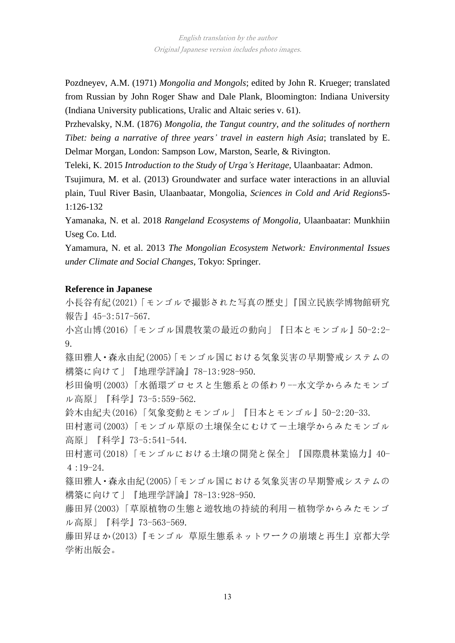Pozdneyev, A.M. (1971) *Mongolia and Mongols*; edited by John R. Krueger; translated from Russian by John Roger Shaw and Dale Plank, Bloomington: Indiana University (Indiana University publications, Uralic and Altaic series v. 61).

Przhevalsky, N.M. (1876) *Mongolia, the Tangut country, and the solitudes of northern Tibet: being a narrative of three years' travel in eastern high Asia*; translated by E. Delmar Morgan, London: Sampson Low, Marston, Searle, & Rivington.

Teleki, K. 2015 *Introduction to the Study of Urga's Heritage*, Ulaanbaatar: Admon.

Tsujimura, M. et al. (2013) Groundwater and surface water interactions in an alluvial plain, Tuul River Basin, Ulaanbaatar, Mongolia, *Sciences in Cold and Arid Regions*5- 1:126-132

Yamanaka, N. et al. 2018 *Rangeland Ecosystems of Mongolia,* Ulaanbaatar: Munkhiin Useg Co. Ltd.

Yamamura, N. et al. 2013 *The Mongolian Ecosystem Network: Environmental Issues under Climate and Social Changes*, Tokyo: Springer.

# **Reference in Japanese**

小長谷有紀(2021)「モンゴルで撮影された写真の歴史」『国立民族学博物館研究 報告』45-3:517-567.

小宮山博(2016)「モンゴル国農牧業の最近の動向」『日本とモンゴル』50-2:2- 9.

篠田雅人・森永由紀(2005)「モンゴル国における気象災害の早期警戒システムの 構築に向けて」『地理学評論』78-13:928-950.

杉田倫明(2003)「水循環プロセスと生態系との係わり--水文学からみたモンゴ ル高原」『科学』73-5:559-562.

鈴木由紀夫(2016)「気象変動とモンゴル」『日本とモンゴル』50-2:20-33.

田村憲司(2003)「モンゴル草原の土壌保全にむけて―土壌学からみたモンゴル 高原」『科学』73-5:541-544.

田村憲司(2018)「モンゴルにおける土壌の開発と保全」『国際農林業協力』40-  $4:19-24.$ 

篠田雅人・森永由紀(2005)「モンゴル国における気象災害の早期警戒システムの 構築に向けて」『地理学評論』78-13:928-950.

藤田昇(2003)「草原植物の生態と遊牧地の持続的利用―植物学からみたモンゴ ル高原」『科学』73-563-569.

藤田昇ほか(2013)『モンゴル 草原生態系ネットワークの崩壊と再生』京都大学 学術出版会。